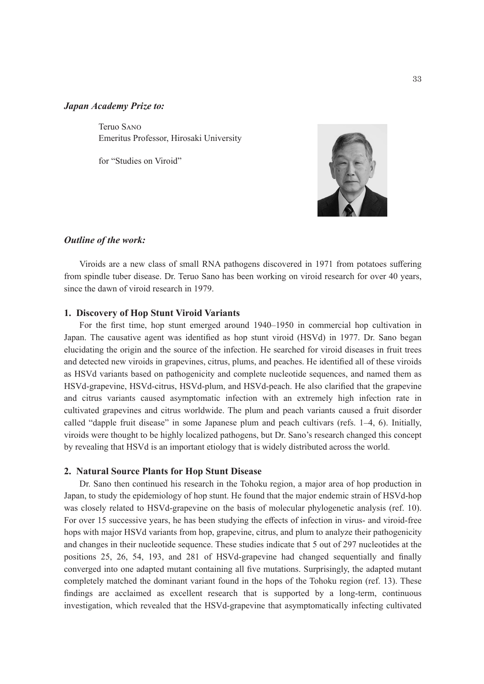#### *Japan Academy Prize to:*

Teruo Sano Emeritus Professor, Hirosaki University

for "Studies on Viroid"



#### *Outline of the work:*

Viroids are a new class of small RNA pathogens discovered in 1971 from potatoes suffering from spindle tuber disease. Dr. Teruo Sano has been working on viroid research for over 40 years, since the dawn of viroid research in 1979.

#### **1. Discovery of Hop Stunt Viroid Variants**

For the first time, hop stunt emerged around 1940–1950 in commercial hop cultivation in Japan. The causative agent was identified as hop stunt viroid (HSVd) in 1977. Dr. Sano began elucidating the origin and the source of the infection. He searched for viroid diseases in fruit trees and detected new viroids in grapevines, citrus, plums, and peaches. He identified all of these viroids as HSVd variants based on pathogenicity and complete nucleotide sequences, and named them as HSVd-grapevine, HSVd-citrus, HSVd-plum, and HSVd-peach. He also clarified that the grapevine and citrus variants caused asymptomatic infection with an extremely high infection rate in cultivated grapevines and citrus worldwide. The plum and peach variants caused a fruit disorder called "dapple fruit disease" in some Japanese plum and peach cultivars (refs. 1–4, 6). Initially, viroids were thought to be highly localized pathogens, but Dr. Sano's research changed this concept by revealing that HSVd is an important etiology that is widely distributed across the world.

### **2. Natural Source Plants for Hop Stunt Disease**

Dr. Sano then continued his research in the Tohoku region, a major area of hop production in Japan, to study the epidemiology of hop stunt. He found that the major endemic strain of HSVd-hop was closely related to HSVd-grapevine on the basis of molecular phylogenetic analysis (ref. 10). For over 15 successive years, he has been studying the effects of infection in virus- and viroid-free hops with major HSVd variants from hop, grapevine, citrus, and plum to analyze their pathogenicity and changes in their nucleotide sequence. These studies indicate that 5 out of 297 nucleotides at the positions 25, 26, 54, 193, and 281 of HSVd-grapevine had changed sequentially and finally converged into one adapted mutant containing all five mutations. Surprisingly, the adapted mutant completely matched the dominant variant found in the hops of the Tohoku region (ref. 13). These findings are acclaimed as excellent research that is supported by a long-term, continuous investigation, which revealed that the HSVd-grapevine that asymptomatically infecting cultivated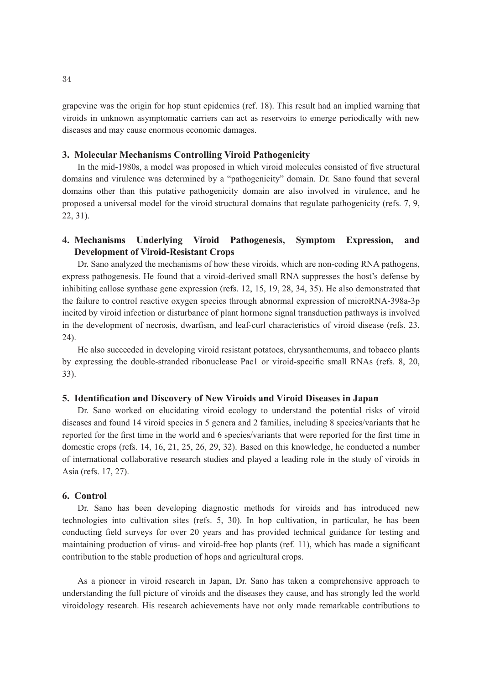grapevine was the origin for hop stunt epidemics (ref. 18). This result had an implied warning that viroids in unknown asymptomatic carriers can act as reservoirs to emerge periodically with new diseases and may cause enormous economic damages.

## **3. Molecular Mechanisms Controlling Viroid Pathogenicity**

In the mid-1980s, a model was proposed in which viroid molecules consisted of five structural domains and virulence was determined by a "pathogenicity" domain. Dr. Sano found that several domains other than this putative pathogenicity domain are also involved in virulence, and he proposed a universal model for the viroid structural domains that regulate pathogenicity (refs. 7, 9, 22, 31).

# **4. Mechanisms Underlying Viroid Pathogenesis, Symptom Expression, and Development of Viroid-Resistant Crops**

Dr. Sano analyzed the mechanisms of how these viroids, which are non-coding RNA pathogens, express pathogenesis. He found that a viroid-derived small RNA suppresses the host's defense by inhibiting callose synthase gene expression (refs. 12, 15, 19, 28, 34, 35). He also demonstrated that the failure to control reactive oxygen species through abnormal expression of microRNA-398a-3p incited by viroid infection or disturbance of plant hormone signal transduction pathways is involved in the development of necrosis, dwarfism, and leaf-curl characteristics of viroid disease (refs. 23, 24).

He also succeeded in developing viroid resistant potatoes, chrysanthemums, and tobacco plants by expressing the double-stranded ribonuclease Pac1 or viroid-specific small RNAs (refs. 8, 20, 33).

## **5. Identification and Discovery of New Viroids and Viroid Diseases in Japan**

Dr. Sano worked on elucidating viroid ecology to understand the potential risks of viroid diseases and found 14 viroid species in 5 genera and 2 families, including 8 species/variants that he reported for the first time in the world and 6 species/variants that were reported for the first time in domestic crops (refs. 14, 16, 21, 25, 26, 29, 32). Based on this knowledge, he conducted a number of international collaborative research studies and played a leading role in the study of viroids in Asia (refs. 17, 27).

## **6. Control**

Dr. Sano has been developing diagnostic methods for viroids and has introduced new technologies into cultivation sites (refs. 5, 30). In hop cultivation, in particular, he has been conducting field surveys for over 20 years and has provided technical guidance for testing and maintaining production of virus- and viroid-free hop plants (ref. 11), which has made a significant contribution to the stable production of hops and agricultural crops.

As a pioneer in viroid research in Japan, Dr. Sano has taken a comprehensive approach to understanding the full picture of viroids and the diseases they cause, and has strongly led the world viroidology research. His research achievements have not only made remarkable contributions to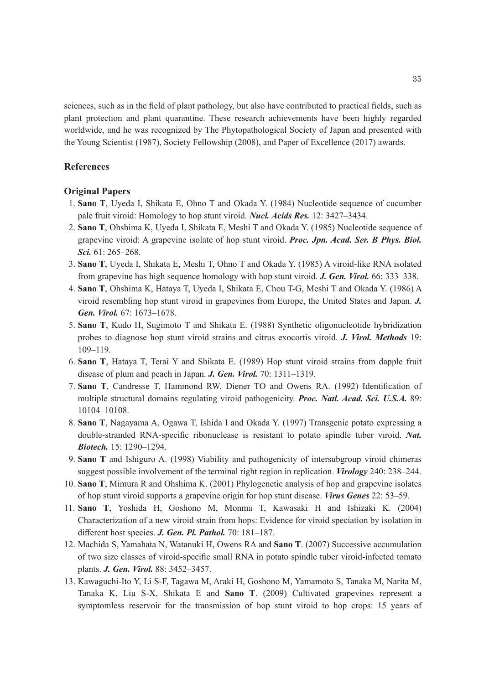sciences, such as in the field of plant pathology, but also have contributed to practical fields, such as plant protection and plant quarantine. These research achievements have been highly regarded worldwide, and he was recognized by The Phytopathological Society of Japan and presented with the Young Scientist (1987), Society Fellowship (2008), and Paper of Excellence (2017) awards.

# **References**

# **Original Papers**

- 1. **Sano T**, Uyeda I, Shikata E, Ohno T and Okada Y. (1984) Nucleotide sequence of cucumber pale fruit viroid: Homology to hop stunt viroid. *Nucl. Acids Res.* 12: 3427–3434.
- 2. **Sano T**, Ohshima K, Uyeda I, Shikata E, Meshi T and Okada Y. (1985) Nucleotide sequence of grapevine viroid: A grapevine isolate of hop stunt viroid. *Proc. Jpn. Acad. Ser. B Phys. Biol. Sci.* 61: 265–268.
- 3. **Sano T**, Uyeda I, Shikata E, Meshi T, Ohno T and Okada Y. (1985) A viroid-like RNA isolated from grapevine has high sequence homology with hop stunt viroid. *J. Gen. Virol.* 66: 333–338.
- 4. **Sano T**, Ohshima K, Hataya T, Uyeda I, Shikata E, Chou T-G, Meshi T and Okada Y. (1986) A viroid resembling hop stunt viroid in grapevines from Europe, the United States and Japan. *J. Gen. Virol.* 67: 1673–1678.
- 5. **Sano T**, Kudo H, Sugimoto T and Shikata E. (1988) Synthetic oligonucleotide hybridization probes to diagnose hop stunt viroid strains and citrus exocortis viroid. *J. Virol. Methods* 19: 109–119.
- 6. **Sano T**, Hataya T, Terai Y and Shikata E. (1989) Hop stunt viroid strains from dapple fruit disease of plum and peach in Japan. *J. Gen. Virol.* 70: 1311–1319.
- 7. **Sano T**, Candresse T, Hammond RW, Diener TO and Owens RA. (1992) Identification of multiple structural domains regulating viroid pathogenicity. *Proc. Natl. Acad. Sci. U.S.A.* 89: 10104–10108.
- 8. **Sano T**, Nagayama A, Ogawa T, Ishida I and Okada Y. (1997) Transgenic potato expressing a double-stranded RNA-specific ribonuclease is resistant to potato spindle tuber viroid. *Nat. Biotech.* 15: 1290–1294.
- 9. **Sano T** and Ishiguro A. (1998) Viability and pathogenicity of intersubgroup viroid chimeras suggest possible involvement of the terminal right region in replication. *Virology* 240: 238–244.
- 10. **Sano T**, Mimura R and Ohshima K. (2001) Phylogenetic analysis of hop and grapevine isolates of hop stunt viroid supports a grapevine origin for hop stunt disease. *Virus Genes* 22: 53–59.
- 11. **Sano T**, Yoshida H, Goshono M, Monma T, Kawasaki H and Ishizaki K. (2004) Characterization of a new viroid strain from hops: Evidence for viroid speciation by isolation in different host species. *J. Gen. Pl. Pathol.* 70: 181–187.
- 12. Machida S, Yamahata N, Watanuki H, Owens RA and **Sano T**. (2007) Successive accumulation of two size classes of viroid-specific small RNA in potato spindle tuber viroid-infected tomato plants. *J. Gen. Virol.* 88: 3452–3457.
- 13. Kawaguchi-Ito Y, Li S-F, Tagawa M, Araki H, Goshono M, Yamamoto S, Tanaka M, Narita M, Tanaka K, Liu S-X, Shikata E and **Sano T**. (2009) Cultivated grapevines represent a symptomless reservoir for the transmission of hop stunt viroid to hop crops: 15 years of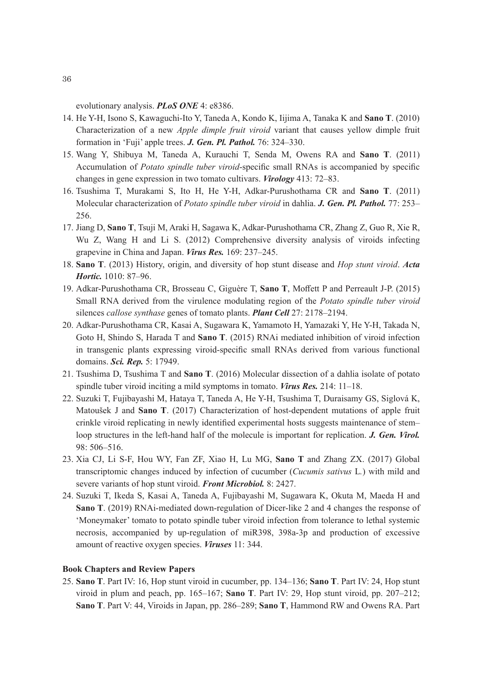evolutionary analysis. *PLoS ONE* 4: e8386.

- 14. He Y-H, Isono S, Kawaguchi-Ito Y, Taneda A, Kondo K, Iijima A, Tanaka K and **Sano T**. (2010) Characterization of a new *Apple dimple fruit viroid* variant that causes yellow dimple fruit formation in 'Fuji' apple trees. *J. Gen. Pl. Pathol.* 76: 324–330.
- 15. Wang Y, Shibuya M, Taneda A, Kurauchi T, Senda M, Owens RA and **Sano T**. (2011) Accumulation of *Potato spindle tuber viroid*-specific small RNAs is accompanied by specific changes in gene expression in two tomato cultivars. *Virology* 413: 72–83.
- 16. Tsushima T, Murakami S, Ito H, He Y-H, Adkar-Purushothama CR and **Sano T**. (2011) Molecular characterization of *Potato spindle tuber viroid* in dahlia. *J. Gen. Pl. Pathol.* 77: 253– 256.
- 17. Jiang D, **Sano T**, Tsuji M, Araki H, Sagawa K, Adkar-Purushothama CR, Zhang Z, Guo R, Xie R, Wu Z, Wang H and Li S. (2012) Comprehensive diversity analysis of viroids infecting grapevine in China and Japan. *Virus Res.* 169: 237–245.
- 18. **Sano T**. (2013) History, origin, and diversity of hop stunt disease and *Hop stunt viroid*. *Acta Hortic.* 1010: 87–96.
- 19. Adkar-Purushothama CR, Brosseau C, Giguère T, **Sano T**, Moffett P and Perreault J-P. (2015) Small RNA derived from the virulence modulating region of the *Potato spindle tuber viroid* silences *callose synthase* genes of tomato plants. *Plant Cell* 27: 2178–2194.
- 20. Adkar-Purushothama CR, Kasai A, Sugawara K, Yamamoto H, Yamazaki Y, He Y-H, Takada N, Goto H, Shindo S, Harada T and **Sano T**. (2015) RNAi mediated inhibition of viroid infection in transgenic plants expressing viroid-specific small RNAs derived from various functional domains. *Sci. Rep.* 5: 17949.
- 21. Tsushima D, Tsushima T and **Sano T**. (2016) Molecular dissection of a dahlia isolate of potato spindle tuber viroid inciting a mild symptoms in tomato. *Virus Res.* 214: 11–18.
- 22. Suzuki T, Fujibayashi M, Hataya T, Taneda A, He Y-H, Tsushima T, Duraisamy GS, Siglová K, Matoušek J and **Sano T**. (2017) Characterization of host-dependent mutations of apple fruit crinkle viroid replicating in newly identified experimental hosts suggests maintenance of stem– loop structures in the left-hand half of the molecule is important for replication. *J. Gen. Virol.* 98: 506–516.
- 23. Xia CJ, Li S-F, Hou WY, Fan ZF, Xiao H, Lu MG, **Sano T** and Zhang ZX. (2017) Global transcriptomic changes induced by infection of cucumber (*Cucumis sativus* L*.*) with mild and severe variants of hop stunt viroid. *Front Microbiol.* 8: 2427.
- 24. Suzuki T, Ikeda S, Kasai A, Taneda A, Fujibayashi M, Sugawara K, Okuta M, Maeda H and **Sano T**. (2019) RNAi-mediated down-regulation of Dicer-like 2 and 4 changes the response of 'Moneymaker' tomato to potato spindle tuber viroid infection from tolerance to lethal systemic necrosis, accompanied by up-regulation of miR398, 398a-3p and production of excessive amount of reactive oxygen species. *Viruses* 11: 344.

### **Book Chapters and Review Papers**

25. **Sano T**. Part IV: 16, Hop stunt viroid in cucumber, pp. 134–136; **Sano T**. Part IV: 24, Hop stunt viroid in plum and peach, pp. 165–167; **Sano T**. Part IV: 29, Hop stunt viroid, pp. 207–212; **Sano T**. Part V: 44, Viroids in Japan, pp. 286–289; **Sano T**, Hammond RW and Owens RA. Part